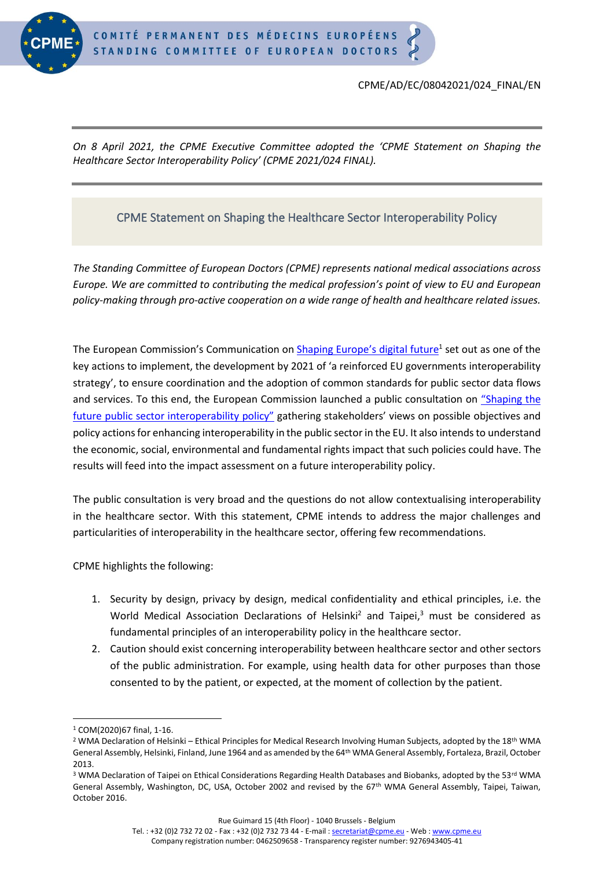

## CPME/AD/EC/08042021/024\_FINAL/EN

*On 8 April 2021, the CPME Executive Committee adopted the 'CPME Statement on Shaping the Healthcare Sector Interoperability Policy' (CPME 2021/024 FINAL).*

## CPME Statement on Shaping the Healthcare Sector Interoperability Policy

*The Standing Committee of European Doctors (CPME) represents national medical associations across Europe. We are committed to contributing the medical profession's point of view to EU and European policy-making through pro-active cooperation on a wide range of health and healthcare related issues.*

The European Commission's Communication on [Shaping Europe's digital future](https://ec.europa.eu/info/publications/communication-shaping-europes-digital-future_en)<sup>1</sup> set out as one of the key actions to implement, the development by 2021 of 'a reinforced EU governments interoperability strategy', to ensure coordination and the adoption of common standards for public sector data flows and services. To this end, the European Commission launched a public consultation on ["Shaping the](https://ec.europa.eu/info/law/better-regulation/have-your-say/initiatives/12579-European-Interoperability-Framework-EIF-evaluation-and-EU-governments-interoperability-strategy)  [future public sector interoperability policy"](https://ec.europa.eu/info/law/better-regulation/have-your-say/initiatives/12579-European-Interoperability-Framework-EIF-evaluation-and-EU-governments-interoperability-strategy) gathering stakeholders' views on possible objectives and policy actions for enhancing interoperability in the public sector in the EU. It also intends to understand the economic, social, environmental and fundamental rights impact that such policies could have. The results will feed into the impact assessment on a future interoperability policy.

The public consultation is very broad and the questions do not allow contextualising interoperability in the healthcare sector. With this statement, CPME intends to address the major challenges and particularities of interoperability in the healthcare sector, offering few recommendations.

CPME highlights the following:

- 1. Security by design, privacy by design, medical confidentiality and ethical principles, i.e. the World Medical Association Declarations of Helsinki<sup>2</sup> and Taipei, $3$  must be considered as fundamental principles of an interoperability policy in the healthcare sector.
- 2. Caution should exist concerning interoperability between healthcare sector and other sectors of the public administration. For example, using health data for other purposes than those consented to by the patient, or expected, at the moment of collection by the patient.

<sup>1</sup> COM(2020)67 final, 1-16.

<sup>&</sup>lt;sup>2</sup> WMA Declaration of Helsinki – Ethical Principles for Medical Research Involving Human Subjects, adopted by the 18<sup>th</sup> WMA General Assembly, Helsinki, Finland, June 1964 and as amended by the 64th WMA General Assembly, Fortaleza, Brazil, October 2013.

<sup>&</sup>lt;sup>3</sup> WMA Declaration of Taipei on Ethical Considerations Regarding Health Databases and Biobanks, adopted by the 53rd WMA General Assembly, Washington, DC, USA, October 2002 and revised by the 67th WMA General Assembly, Taipei, Taiwan, October 2016.